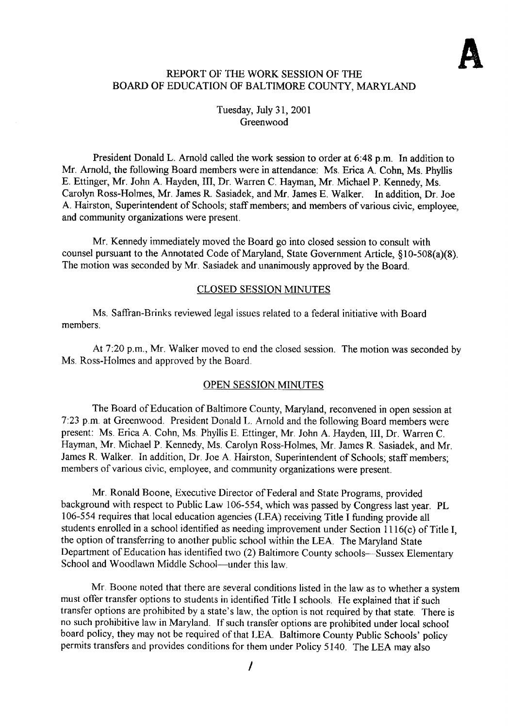# REPORT OF THE WORK SESSION OF THE BOARD OF EDUCATION OF BALTIMORE COUNTY, MARYLAND

Tuesday, July 31, 2001 Greenwood

President Donald L. Arnold called the work session to order at 6:48 p.m. In addition to Mr. Arnold, the following Board members were in attendance: Ms. Erica A. Cohn, Ms. Phyllis E. Ettinger, Mr. John A. Hayden, III, Dr. Warren C. Hayman, Mr. Michael P. Kennedy, Ms. Carolyn Ross-Holmes, Mr. James R. Sasiadek, and Mr. James E. Walker. In addition, Dr. Joe A. Hairston, Superintendent of Schools; staff members; and members of various civic, employee, and community organizations were present.

Mr. Kennedy immediately moved the Board go into closed session to consult with counsel pursuant to the Annotated Code of Maryland, State Government Article, § 10-508(a)(8) . The motion was seconded by Mr. Sasiadek and unanimously approved by the Board.

## CLOSED SESSION MINUTES

Ms . Saffran-Brinks reviewed legal issues related to a federal initiative with Board members.

At 7:20 p.m., Mr. Walker moved to end the closed session. The motion was seconded by Ms . Ross-Holmes and approved by the Board.

### OPEN SESSION MINUTES

The Board of Education of Baltimore County, Maryland, reconvened in open session at 7 :23 p .m. at Greenwood. President Donald L. Arnold and the following Board members were present: Ms. Erica A. Cohn, Ms. Phyllis E. Ettinger, Mr. John A. Hayden, III, Dr. Warren C. Hayman, Mr. Michael P. Kennedy, Ms. Carolyn Ross-Holmes, Mr. James R. Sasiadek, and Mr. James R. Walker. In addition, Dr. Joe A. Hairston, Superintendent of Schools; staff members; members of various civic, employee, and community organizations were present.

Mr. Ronald Boone, Executive Director of Federal and State Programs, provided background with respect to Public Law 106-554, which was passed by Congress last year. PL 106-554 requires that local education agencies (LEA) receiving Title <sup>I</sup> funding provide all students enrolled in a school identified as needing improvement under Section 1116(c) of Title I, the option of transferring to another public school within the LEA. The Maryland State Department of Education has identified two (2) Baltimore County schools-Sussex Elementary School and Woodlawn Middle School-under this law.

Mr. Boone noted that there are several conditions listed in the law as to whether <sup>a</sup> system must offer transfer options to students in identified Title <sup>I</sup> schools. He explained that if such transfer options are prohibited by a state's law, the option is not required by that state. There is no such prohibitive law in Maryland. If such transfer options are prohibited under local school board policy, they may not be required of that LEA. Baltimore County Public Schools' policy permits transfers and provides conditions for them under Policy 5140. The LEA may also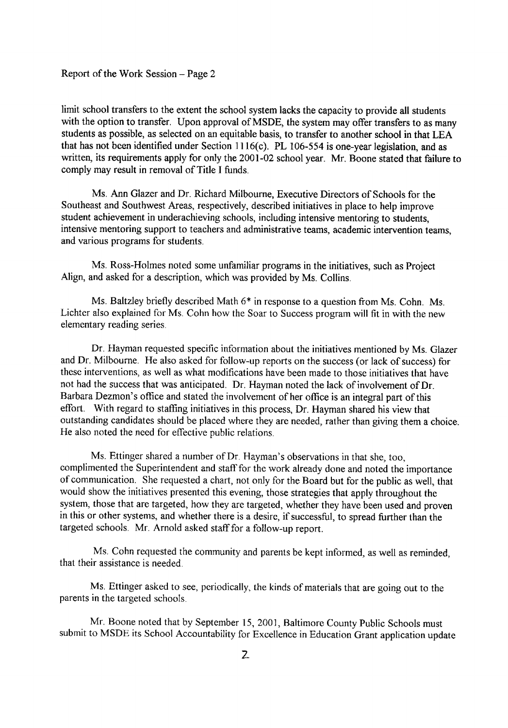limit school transfers to the extent the school system lacks the capacity to provide all students with the option to transfer. Upon approval of MSDE, the system may offer transfers to as many students as possible, as selected on an equitable basis, to transfer to another school in that LEA that has not been identified under Section <sup>11</sup> 16(c). PL 106-554 is one-year legislation, and as written, its requirements apply for only the 2001-02 school year. Mr. Boone stated that failure to comply may result in removal of Title <sup>I</sup> funds.

Ms. Ann Glazer and Dr. Richard Milbourne, Executive Directors of Schools for the Southeast and Southwest Areas, respectively, described initiatives in place to help improve student achievement in underachieving schools, including intensive mentoring to students, intensive mentoring support to teachers and administrative teams, academic intervention teams, and various programs for students.

Ms. Ross-Holmes noted some unfamiliar programs in the initiatives, such as Project Align, and asked for a description, which was provided by Ms . Collins.

Ms. Baltzley briefly described Math  $6*$  in response to a question from Ms. Cohn. Ms. Lichter also explained for Ms. Cohn how the Soar to Success program will fit in with the new elementary reading series .

Dr. Hayman requested specific information about the initiatives mentioned by Ms. Glazer and Dr. Milbourne. He also asked for follow-up reports on the success (or lack of success) for these interventions, as well as what modifications have been made to those initiatives that have not had the success that was anticipated. Dr. Hayman noted the lack of involvement of Dr. Barbara Dezmon's office and stated the involvement of her office is an integral part of this effort. With regard to staffing initiatives in this process, Dr. Hayman shared his view that outstanding candidates should be placed where they are needed, rather than giving them a choice . He also noted the need for effective public relations.

Ms. Ettinger shared <sup>a</sup> number of Dr. Hayman's observations in that she, too, complimented the Superintendent and staff for the work already done and noted the importance of communication. She requested a chart, not only for the Board but for the public as well, that would show the initiatives presented this evening, those strategies that apply throughout the system, those that are targeted, how they are targeted, whether they have been used and proven in this or other systems, and whether there is a desire, if successful, to spread further than the targeted schools. Mr. Arnold asked staff for a follow-up report.

Ms. Cohn requested the community and parents be kept informed, as well as reminded, that their assistance is needed .

Ms. Ettinger asked to see, periodically, the kinds of materials that are going out to the parents in the targeted schools.

Mr. Boone noted that by September 15, 2001, Baltimore County Public Schools must submit to MSDE its School Accountability for Excellence in Education Grant application update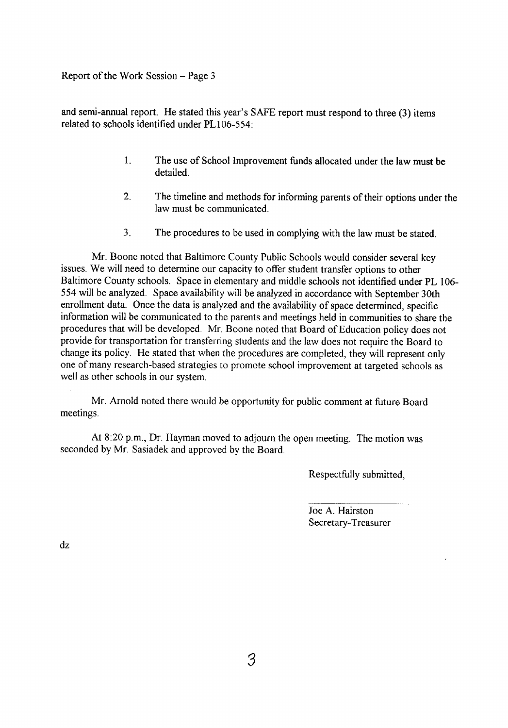Report of the Work Session - Page <sup>3</sup>

and semi-annual report. He stated this year's SAFE report must respond to three (3) items related to schools identified under PL106-554 :

- 1. The use of School Improvement funds allocated under the law must be detailed.
- 2. The timeline and methods for informing parents of their options under the law must be communicated.
- 3. The procedures to be used in complying with the law must be stated.

Mr. Boone noted that Baltimore County Public Schools would consider several key issues. We will need to determine our capacity to offer student transfer options to other Baltimore County schools. Space in elementary and middle schools not identified under PL 106 554 will be analyzed. Space availability will be analyzed in accordance with September 30th enrollment data. Once the data is analyzed and the availability of space determined, specific information will be communicated to the parents and meetings held in communities to share the procedures that will be developed. Mr. Boone noted that Board of Education policy does not provide for transportation for transferring students and the law does not require the Board to change its policy . He stated that when the procedures are completed, they will represent only one of many research-based strategies to promote school improvement at targeted schools as well as other schools in our system.

Mr. Arnold noted there would be opportunity for public comment at future Board meetings.

At 8:20 p.m., Dr. Hayman moved to adjourn the open meeting. The motion was seconded by Mr. Sasiadek and approved by the Board.

Respectfully submitted,

Joe A. Hairston Secretary-Treasurer

dz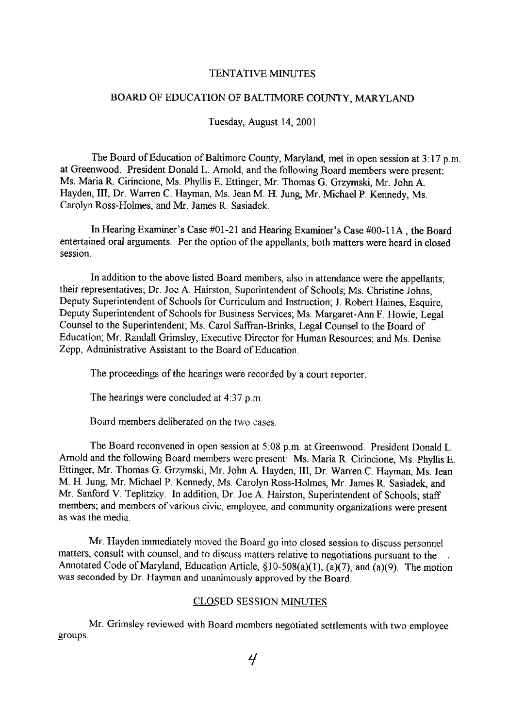## TENTATIVE MINUTES

## BOARD OF EDUCATION OF BALTIMORE COUNTY, MARYLAND

Tuesday, August 14, 2001

The Board of Education of Baltimore County, Maryland, met in open session at  $3:17$  p.m. at Greenwood. President Donald L. Arnold, and the following Board members were present: Ms. Maria R. Cirincione, Ms. Phyllis E. Ettinger, Mr. Thomas G. Grzymski, Mr. John A. Hayden, III, Dr. Warren C. Hayman, Ms. Jean M. H. Jung, Mr. Michael P. Kennedy, Ms. Carolyn Ross-Holmes, and Mr. James R . Sasiadek.

In Hearing Examiner's Case #01-21 and Hearing Examiner's Case #00-11A , the Board entertained oral arguments. Per the option of the appellants, both matters were heard in closed session .

In addition to the above listed Board members, also in attendance were the appellants, their representatives; Dr. Joe A. Hairston, Superintendent of Schools; Ms. Christine Johns, Deputy Superintendent of Schools for Curriculum and Instruction; J. Robert Haines, Esquire, Deputy Superintendent of Schools for Business Services; Ms. Margaret-Ann F . Howie, Legal Counsel to the Superintendent, Ms. Carol Saffran-Brinks, Legal Counsel to the Board of Education; Mr. Randall Grimsley, Executive Director for Human Resources; and Ms. Denise Zepp, Administrative Assistant to the Board of Education.

The proceedings of the hearings were recorded by a court reporter.

The hearings were concluded at  $4:37$  p.m.

Board members deliberated on the two cases.

The Board reconvened in open session at 5:08 p.m. at Greenwood. President Donald L. Arnold and the following Board members were present: Ms. Maria R. Cirincione, Ms. Phyllis E. Ettinger, Mr. Thomas G. Grzymski, Mr. John A. Hayden, III, Dr. Warren C . Hayman, Ms. Jean M. H. Jung, Mr. Michael <sup>P</sup> . Kennedy, Ms . Carolyn Ross-Holmes, Mr. James R. Sasiadek, and Mr. Sanford V. Teplitzky. In addition, Dr. Joe A. Hairston, Superintendent of Schools, staff members; and members of various civic, employee, and community organizations were present as was the media.

Mr. Hayden immediately moved the Board go into closed session to discuss personnel matters, consult with counsel, and to discuss matters relative to negotiations pursuant to the Annotated Code of Maryland, Education Article, §10-508(a)(1), (a)(7), and (a)(9). The motion was seconded by Dr. Hayman and unanimously approved by the Board.

#### CLOSED SESSION MINUTES

groups. Mr. Grimsley reviewed with Board members negotiated settlements with two employee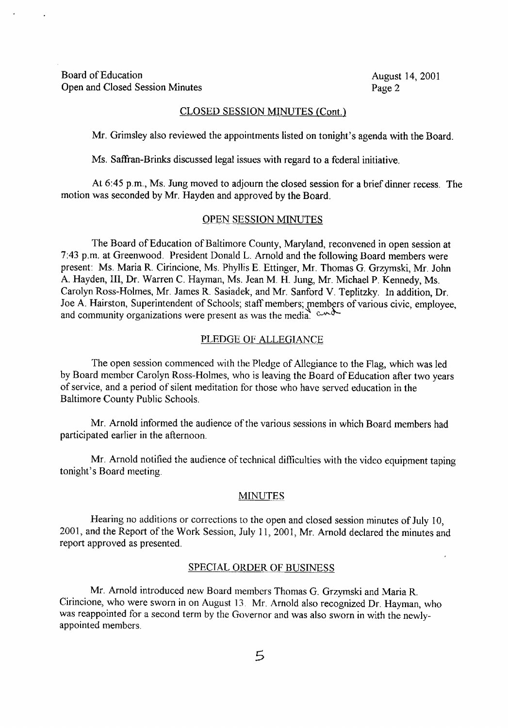## CLOSED SESSION MINUTES (Cont.)

Mr. Grimsley also reviewed the appointments listed on tonight's agenda with the Board.

Ms. Saffran-Brinks discussed legal issues with regard to a federal initiative.

At 6:45 p.m., Ms. Jung moved to adjourn the closed session for a brief dinner recess. The motion was seconded by Mr. Hayden and approved by the Board.

## OPEN SESSION MINUTES

The Board of Education of Baltimore County, Maryland, reconvened in open session at 7 :43 p.m. at Greenwood. President Donald L. Arnold and the following Board members were present: Ms. Maria R. Cirincione, Ms. Phyllis E. Ettinger, Mr. Thomas G. Grzymski, Mr. John A. Hayden, III, Dr. Warren C. Hayman, Ms. Jean M. H. Jung, Mr. Michael P. Kennedy, Ms. Carolyn Ross-Holmes, Mr. James R. Sasiadek, and Mr. Sanford V. Teplitzky. In addition, Dr. Joe A. Hairston, Superintendent of Schools; staff members; members of various civic, employee, and community organizations were present as was the media.  $\sim$ 

#### PLEDGE OF ALLEGIANCE

The open session commenced with the Pledge of Allegiance to the Flag, which was led by Board member Carolyn Ross-Holmes, who is leaving the Board of Education after two years of service, and a period of silent meditation for those who have served education in the Baltimore County Public Schools.

Mr. Arnold informed the audience of the various sessions in which Board members had participated earlier in the afternoon.

Mr. Arnold notified the audience of technical difficulties with the video equipment taping tonight's Board meeting.

#### MINUTES

Hearing no additions or corrections to the open and closed session minutes of July 10, 2001, and the Report of the Work Session, July 11, 2001, Mr. Arnold declared the minutes and report approved as presented.

#### SPECIAL ORDER OF BUSINESS

Mr. Arnold introduced new Board members Thomas G. Grzymski and Maria R. Cirincione, who were sworn in on August <sup>13</sup> . Mr. Arnold also recognized Dr. Hayman, who was reappointed for <sup>a</sup> second term by the Governor and was also sworn in with the newlyappointed members.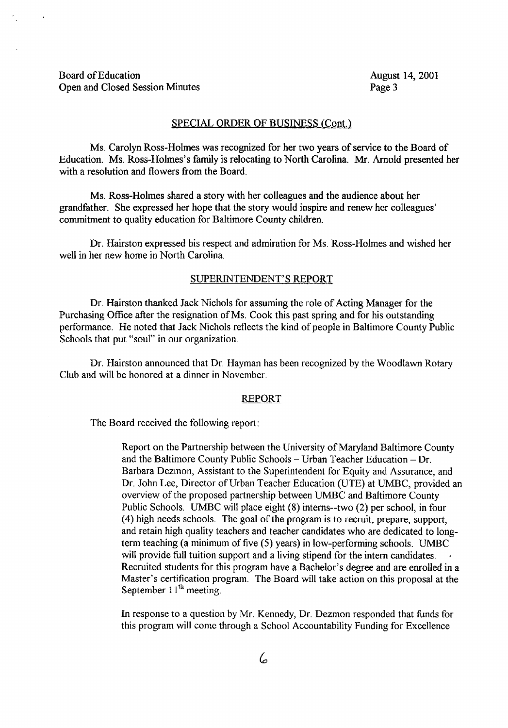#### SPECIAL ORDER OF BUSINESS (Cont.)

Ms. Carolyn Ross-Holmes was recognized for her two years of service to the Board of Education . Ms. Ross-Holmes's family is relocating to North Carolina. Mr. Arnold presented her with a resolution and flowers from the Board.

Ms. Ross-Holmes shared <sup>a</sup> story with her colleagues and the audience about her grandfather. She expressed her hope that the story would inspire and renew her colleagues' commitment to quality education for Baltimore County children.

Dr. Hairston expressed his respect and admiration for Ms. Ross-Holmes and wished her well in her new home in North Carolina.

#### SUPERINTENDENT'S REPORT

Dr. Hairston thanked Jack Nichols for assuming the role of Acting Manager for the Purchasing Office after the resignation of Ms. Cook this past spring and for his outstanding performance. He noted that Jack Nichols reflects the kind of people in Baltimore County Public Schools that put "soul" in our organization.

Dr. Hairston announced that Dr. Hayman has been recognized by the Woodlawn Rotary Club and will be honored at <sup>a</sup> dinner in November.

### REPORT

The Board received the following report:

Report on the Partnership between the University of Maryland Baltimore County and the Baltimore County Public Schools  $-$  Urban Teacher Education  $-$  Dr. Barbara Dezmon, Assistant to the Superintendent for Equity and Assurance, and Dr. John Lee, Director of Urban Teacher Education (UTE) at UMBC, provided an overview of the proposed partnership between UMBC and Baltimore County Public Schools. UMBC will place eight (8) interns--two (2) per school, in four (4) high needs schools. The goal of the program is to recruit, prepare, support, and retain high quality teachers and teacher candidates who are dedicated to longterm teaching (a minimum of five (5) years) in low-performing schools . UMBC will provide full tuition support and a living stipend for the intern candidates. Recruited students for this program have a Bachelor's degree and are enrolled in <sup>a</sup> Master's certification program. The Board will take action on this proposal at the September  $11<sup>th</sup>$  meeting.

In response to a question by Mr. Kennedy, Dr. Dezmon responded that funds for this program will come through a School Accountability Funding for Excellence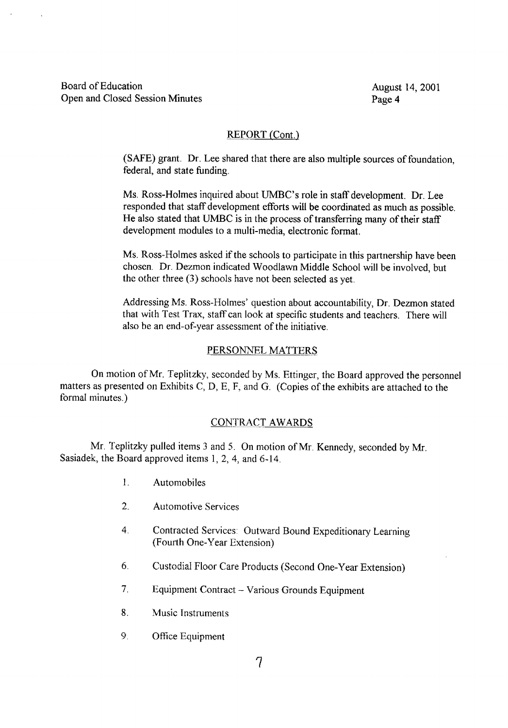## REPORT (Cont.)

(SAFE) grant. Dr. Lee shared that there are also multiple sources of foundation, federal, and state funding.

Ms. Ross-Holmes inquired about UMBC's role in staff development. Dr. Lee responded that staff development efforts will be coordinated as much as possible. He also stated that UMBC is in the process of transferring many of their staff development modules to a multi-media, electronic format.

Ms. Ross-Holmes asked if the schools to participate in this partnership have been chosen. Dr. Dezmon indicated Woodlawn Middle School will be involved, but the other three (3) schools have not been selected as yet.

Addressing Ms. Ross-Holmes' question about accountability, Dr. Dezmon stated that with Test Trax, staff can look at specific students and teachers. There will also be an end-of-year assessment of the initiative.

## PERSONNEL MATTERS

On motion of Mr. Teplitzky, seconded by Ms. Ettinger, the Board approved the personnel matters as presented on Exhibits C, D, E, F, and G. (Copies of the exhibits are attached to the formal minutes.)

## CONTRACT AWARDS

Mr. Teplitzky pulled items 3 and 5. On motion of Mr. Kennedy, seconded by Mr. Sasiadek, the Board approved items 1, 2, 4, and 6-14 .

- <sup>1</sup> . Automobiles
- 2. Automotive Services
- 4. Contracted Services : Outward Bound Expeditionary Learning (Fourth One-Year Extension)
- 6 . Custodial Floor Care Products (Second One-Year Extension)
- 7. Equipment Contract Various Grounds Equipment
- 8. Music Instruments
- 9. Office Equipment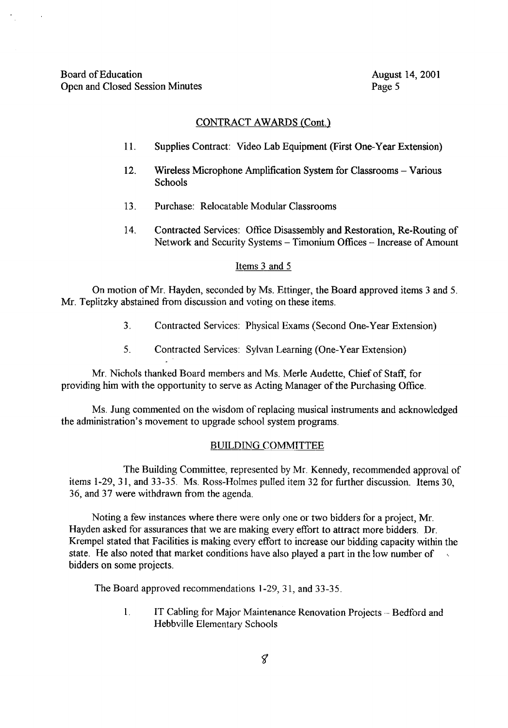$\mathcal{L}$ 

## CONTRACT AWARDS (Cont.)

- <sup>11</sup> . Supplies Contract: Video Lab Equipment (First One-Year Extension)
- 12. Wireless Microphone Amplification System for Classrooms Various Schools
- 13 . Purchase: Relocatable Modular Classrooms
- 14. Contracted Services: Office Disassembly and Restoration, Re-Routing of Network and Security Systems - Timonium Offices - Increase of Amount

## Items 3 and <sup>5</sup>

On motion of Mr. Hayden, seconded by Ms. Ettinger, the Board approved items 3 and 5. Mr. Teplitzky abstained from discussion and voting on these items.

- <sup>3</sup> . Contracted Services: Physical Exams (Second One-Year Extension)
- 5 . Contracted Services: Sylvan Learning (One-Year Extension)

Mr. Nichols thanked Board members and Ms. Merle Audette, Chief of Staff, for providing him with the opportunity to serve as Acting Manager of the Purchasing Office.

Ms. Jung commented on the wisdom of replacing musical instruments and acknowledged the administration's movement to upgrade school system programs.

#### BUILDING COMMITTEE

The Building Committee, represented by Mr. Kennedy, recommended approval of items 1-29, 31, and 33-35 . Ms. Ross-Holmes pulled item 32 for further discussion. Items 30, 36, and 37 were withdrawn from the agenda.

Noting <sup>a</sup> few instances where there were only one or two bidders for <sup>a</sup> project, Mr. Hayden asked for assurances that we are making every effort to attract more bidders. Dr. Krempel stated that Facilities is making every effort to increase our bidding capacity within the state. He also noted that market conditions have also played a part in the low number of bidders on some projects.

The Board approved recommendations 1-29, 31, and 33-35 .

1. IT Cabling for Major Maintenance Renovation Projects – Bedford and Hebbville Elementary Schools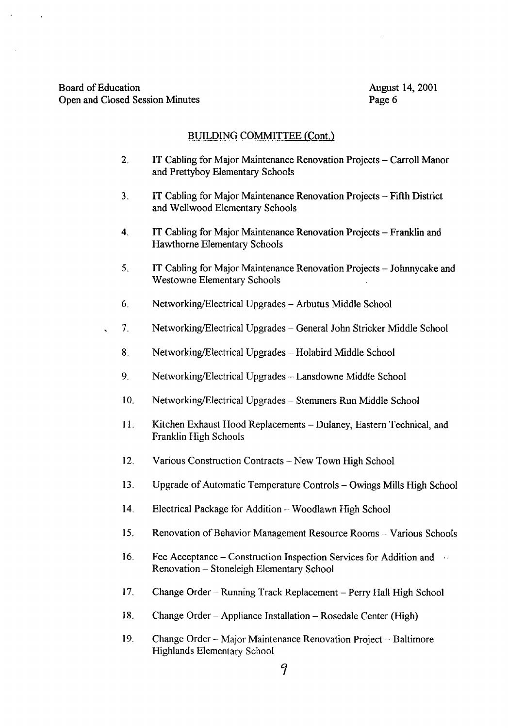## BUILDING COMMITTEE (Cont.)

- 2. IT Cabling for Major Maintenance Renovation Projects Carroll Manor and Prettyboy Elementary Schools
- <sup>3</sup> . IT Cabling for Major Maintenance Renovation Projects Fifth District and Wellwood Elementary Schools
- 4. IT Cabling for Major Maintenance Renovation Projects Franklin and Hawthorne Elementary Schools
- 5 . IT Cabling for Major Maintenance Renovation Projects Johnnycake and Westowne Elementary Schools
- 6 . Networking/Electrical Upgrades Arbutus Middle School
- 7 . Networking/Electrical Upgrades General John Stricker Middle School
	- 8. Networking/Electrical Upgrades Holabird Middle School
	- 9. Networking/Electrical Upgrades Lansdowne Middle School
	- 10. Networking/Electrical Upgrades Stemmers Run Middle School
	- 11. Kitchen Exhaust Hood Replacements Dulaney, Eastern Technical, and Franklin High Schools
	- 12. Various Construction Contracts New Town High School
	- 13. Upgrade of Automatic Temperature Controls Owings Mills High School
	- 14. Electrical Package for Addition -- Woodlawn High School
	- 15. Renovation of Behavior Management Resource Rooms Various Schools
	- 16. Fee Acceptance Construction Inspection Services for Addition and the Renovation - Stoneleigh Elementary School
	- 17. Change Order Running Track Replacement Perry Hall High School
	- 18. Change Order Appliance Installation Rosedale Center (High)
	- 19. Change Order Major Maintenance Renovation Project Baltimore Highlands Elementary School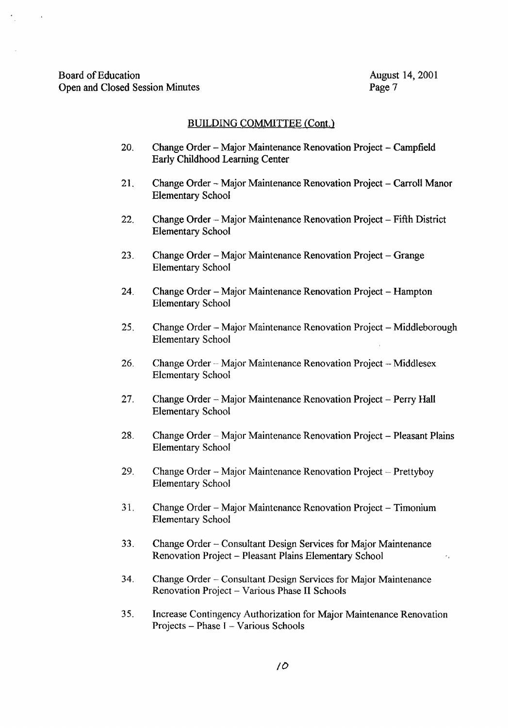$\bar{\mathbf{r}}$ 

 $\epsilon$ 

### BUILDING COMMITTEE (Cont.)

- 20. Change Order Major Maintenance Renovation Project Campfield Early Childhood Learning Center
- 21. Change Order Major Maintenance Renovation Project Carroll Manor Elementary School
- 22. Change Order -- Major Maintenance Renovation Project -- Fifth District Elementary School
- 23. Change Order Major Maintenance Renovation Project Grange Elementary School
- 24. Change Order Major Maintenance Renovation Project Hampton Elementary School
- 25. Change Order -- Major Maintenance Renovation Project -- Middleborough Elementary School
- 26. Change Order Major Maintenance Renovation Project Middlesex Elementary School
- 27. Change Order Major Maintenance Renovation Project Perry Hall Elementary School
- 28. Change Order Major Maintenance Renovation Project Pleasant Plains Elementary School
- 29. Change Order Major Maintenance Renovation Project Prettyboy Elementary School
- 31. Change Order Major Maintenance Renovation Project Timonium Elementary School
- 33 . Change Order Consultant Design Services for Major Maintenance Renovation Project - Pleasant Plains Elementary School
- 34 . Change Order Consultant Design Services for Major Maintenance Renovation Project - Various Phase II Schools
- 35. Increase Contingency Authorization for Major Maintenance Renovation Projects - Phase <sup>I</sup> - Various Schools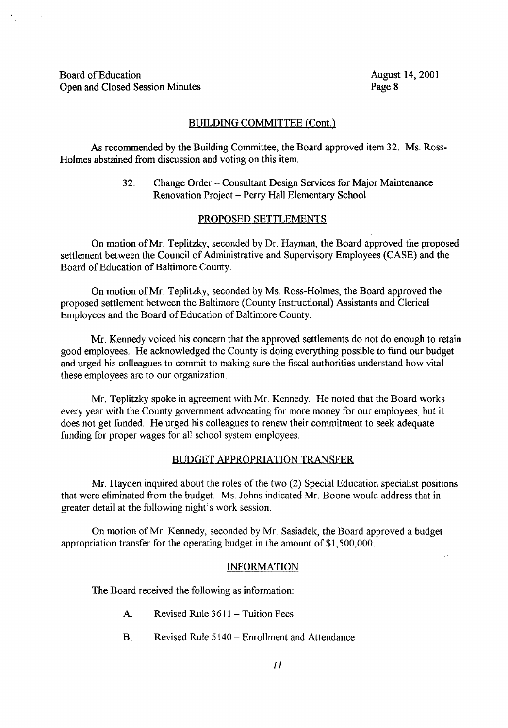Board of Education<br>
Open and Closed Session Minutes<br>
Open and Closed Session Minutes<br>
August 14, 2001 Open and Closed Session Minutes

 $\mathcal{L}^{\mathcal{L}}$ 

## BUILDING COMMITTEE (Cont.)

As recommended by the Building Committee, the Board approved item 32. Ms. Ross-Holmes abstained from discussion and voting on this item.

> 32. Change Order - Consultant Design Services for Major Maintenance Renovation Project - Perry Hall Elementary School

## PROPOSED SETTLEMENTS

On motion of Mr. Teplitzky, seconded by Dr. Hayman, the Board approved the proposed settlement between the Council of Administrative and Supervisory Employees (CASE) and the Board of Education of Baltimore County.

On motion of Mr. Teplitzky, seconded by Ms. Ross-Holmes, the Board approved the proposed settlement between the Baltimore (County Instructional) Assistants and Clerical Employees and the Board of Education of Baltimore County.

Mr. Kennedy voiced his concern that the approved settlements do not do enough to retain good employees. He acknowledged the County is doing everything possible to fund our budget and urged his colleagues to commit to making sure the fiscal authorities understand how vital these employees are to our organization.

Mr. Teplitzky spoke in agreement with Mr. Kennedy. He noted that the Board works every year with the County government advocating for more money for our employees, but it does not get funded. He urged his colleagues to renew their commitment to seek adequate funding for proper wages for all school system employees.

### BUDGET APPROPRIATION TRANSFER

Mr. Hayden inquired about the roles of the two (2) Special Education specialist positions that were eliminated from the budget. Ms. Johns indicated Mr. Boone would address that in greater detail at the following night's work session .

On motion of Mr. Kennedy, seconded by Mr. Sasiadek, the Board approved <sup>a</sup> budget appropriation transfer for the operating budget in the amount of \$1,500,000.

### INFORMATION

The Board received the following as information:

- A. Revised Rule <sup>3611</sup> Tuition Fees
- B. Revised Rule 5140 Enrollment and Attendance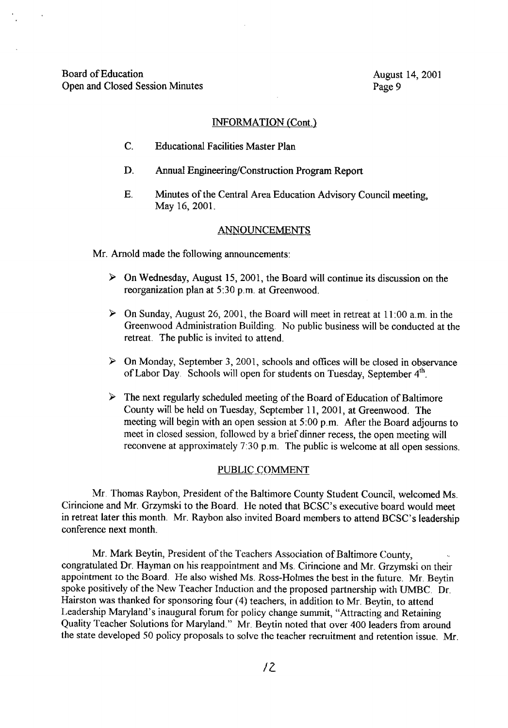#### INFORMATION (Cont.)

- C. Educational Facilities Master Plan
- D. Annual Engineering/Construction Program Report
- E. Minutes of the Central Area Education Advisory Council meeting, May 16, 2001.

### ANNOUNCEMENTS

Mr. Arnold made the following announcements:

- $\triangleright$  On Wednesday, August 15, 2001, the Board will continue its discussion on the reorganization plan at 5:30 p.m. at Greenwood.
- $\triangleright$  On Sunday, August 26, 2001, the Board will meet in retreat at 11:00 a.m. in the Greenwood Administration Building. No public business will be conducted at the retreat. The public is invited to attend.
- $\triangleright$  On Monday, September 3, 2001, schools and offices will be closed in observance of Labor Day. Schools will open for students on Tuesday, September 4<sup>th</sup>.
- $\triangleright$  The next regularly scheduled meeting of the Board of Education of Baltimore County will be held on Tuesday, September 11, 2001, at Greenwood. The meeting will begin with an open session at 5:00 p.m. After the Board adjourns to meet in closed session, followed by a brief dinner recess, the open meeting will reconvene at approximately 7:30 p.m. The public is welcome at all open sessions.

#### PUBLIC COMMENT

Mr. Thomas Raybon, President of the Baltimore County Student Council, welcomed Ms. Cirincione and Mr. Grzymski to the Board. He noted that BCSC's executive board would meet in retreat later this month. Mr. Raybon also invited Board members to attend BCSC's leadership conference next month.

Mr. Mark Beytin, President of the Teachers Association of Baltimore County, congratulated Dr. Hayman on his reappointment and Ms. Cirincione and Mr. Grzymski on their appointment to the Board. He also wished Ms. Ross-Holmes the best in the future. Mr. Beytin spoke positively of the New Teacher Induction and the proposed partnership with UMBC . Dr. Hairston was thanked for sponsoring four (4) teachers, in addition to Mr. Beytin, to attend Leadership Maryland's inaugural forum for policy change summit, "Attracting and Retaining Quality Teacher Solutions for Maryland." Mr. Beytin noted that over 400 leaders from around the state developed 50 policy proposals to solve the teacher recruitment and retention issue . Mr.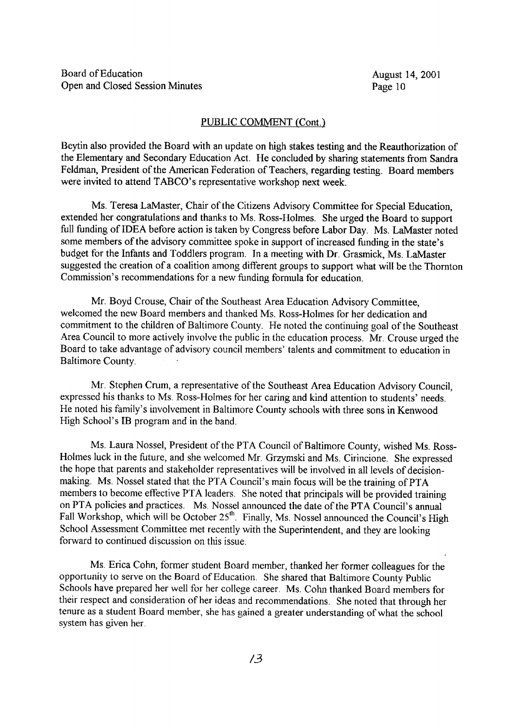#### PUBLIC COMMENT (Cont.)

Beytin also provided the Board with an update on high stakes testing and the Reauthorization of the Elementary and Secondary Education Act. He concluded by sharing statements from Sandra Feldman, President of the American Federation of Teachers, regarding testing. Board members were invited to attend TABCO's representative workshop next week.

Ms. Teresa LaMaster, Chair of the Citizens Advisory Committee for Special Education, extended her congratulations and thanks to Ms . Ross-Holmes. She urged the Board to support full funding of IDEA before action is taken by Congress before Labor Day. Ms. LaMaster noted some members of the advisory committee spoke in support of increased funding in the state's budget for the Infants and Toddlers program. In <sup>a</sup> meeting with Dr. Grasmick, Ms. LaMaster suggested the creation of a coalition among different groups to support what will be the Thornton Commission's recommendations for <sup>a</sup> new funding formula for education.

Mr. Boyd Crouse, Chair of the Southeast Area Education Advisory Committee, welcomed the new Board members and thanked Ms. Ross-Holmes for her dedication and commitment to the children of Baltimore County. He noted the continuing goal of the Southeast Area Council to more actively involve the public in the education process. Mr. Crouse urged the Board to take advantage of advisory council members' talents and commitment to education in Baltimore County.

Mr. Stephen Crum, a representative of the Southeast Area Education Advisory Council, expressed his thanks to Ms. Ross-Holmes for her caring and kind attention to students' needs . He noted his family's involvement in Baltimore County schools with three sons in Kenwood High School's IB program and in the band.

Ms. Laura Nossel, President of the PTA Council of Baltimore County, wished Ms. Ross-Holmes luck in the future, and she welcomed Mr. Grzymski and Ms. Cirincione. She expressed the hope that parents and stakeholder representatives will be involved in all levels of decision making. Ms. Nossel stated that the PTA Council's main focus will be the training of PTA members to become effective PTA leaders. She noted that principals will be provided training on PTA policies and practices. Ms. Nossel announced the date of the PTA Council's annual Fall Workshop, which will be October 25<sup>th</sup>. Finally, Ms. Nossel announced the Council's High School Assessment Committee met recently with the Superintendent, and they are looking forward to continued discussion on this issue .

Ms. Erica Cohn, former student Board member, thanked her former colleagues for the opportunity to serve on the Board of Education. She shared that Baltimore County Public Schools have prepared her well for her college career. Ms. Cohn thanked Board members for their respect and consideration of her ideas and recommendations . She noted that through her tenure as a student Board member, she has gained a greater understanding of what the school system has given her.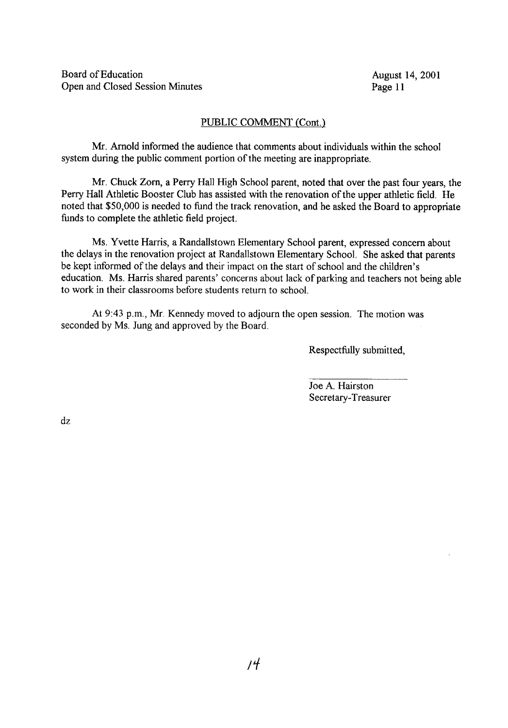Board of Education<br>
Open and Closed Session Minutes<br>
Page 11 Open and Closed Session Minutes

### PUBLIC COMMENT (Cont)

Mr. Arnold informed the audience that comments about individuals within the school system during the public comment portion of the meeting are inappropriate.

Mr. Chuck Zorn, <sup>a</sup> Perry Hall High School parent, noted that over the past four years, the Perry Hall Athletic Booster Club has assisted with the renovation of the upper athletic field. He noted that \$50,000 is needed to fund the track renovation, and he asked the Board to appropriate funds to complete the athletic field project.

Ms. Yvette Harris, <sup>a</sup> Randallstown Elementary School parent, expressed concern about the delays in the renovation project at Randallstown Elementary School . She asked that parents be kept informed of the delays and their impact on the start of school and the children's education. Ms. Harris shared parents' concerns about lack of parking and teachers not being able to work in their classrooms before students return to school.

At 9:43 p.m., Mr. Kennedy moved to adjourn the open session. The motion was seconded by Ms. Jung and approved by the Board.

Respectfully submitted,

Joe A. Hairston Secretary-Treasurer

dz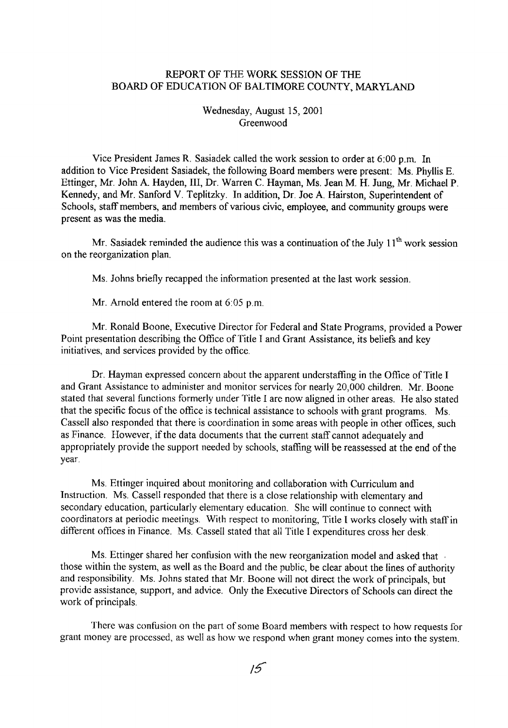# REPORT OF THE WORK SESSION OF THE BOARD OF EDUCATION OF BALTIMORE COUNTY, MARYLAND

Wednesday, August 15, 2001 Greenwood

Vice President James R. Sasiadek called the work session to order at <sup>6</sup> .00 p.m. In addition to Vice President Sasiadek, the following Board members were present: Ms. Phyllis E. Ettinger, Mr. John A. Hayden, III, Dr. Warren C. Hayman, Ms . Jean M. H. Jung, Mr. Michael P. Kennedy, and Mr. Sanford V. Teplitzky. In addition, Dr. Joe A. Hairston, Superintendent of Schools, staff members, and members of various civic, employee, and community groups were present as was the media.

Mr. Sasiadek reminded the audience this was a continuation of the July  $11<sup>th</sup>$  work session on the reorganization plan.

Ms. Johns briefly recapped the information presented at the last work session.

Mr. Arnold entered the room at 6:05 p.m.

Mr. Ronald Boone, Executive Director for Federal and State Programs, provided a Power Point presentation describing the Office of Title I and Grant Assistance, its beliefs and key initiatives, and services provided by the office.

Dr. Hayman expressed concern about the apparent understaffing in the Office of Title I and Grant Assistance to administer and monitor services for nearly 20,000 children. Mr. Boone stated that several functions formerly under Title <sup>I</sup> are now aligned in other areas . He also stated that the specific focus of the office is technical assistance to schools with grant programs. Ms . Cassell also responded that there is coordination in some areas with people in other offices, such as Finance. However, if the data documents that the current staff cannot adequately and appropriately provide the support needed by schools, staffing will be reassessed at the end of the year.

Ms. Ettinger inquired about monitoring and collaboration with Curriculum and Instruction. Ms. Cassell responded that there is a close relationship with elementary and secondary education, particularly elementary education. She will continue to connect with coordinators at periodic meetings. With respect to monitoring, Title <sup>I</sup> works closely with staffin different offices in Finance. Ms. Cassell stated that all Title <sup>I</sup> expenditures cross her desk.

Ms. Ettinger shared her confusion with the new reorganization model and asked that those within the system, as well as the Board and the public, be clear about the lines of authority and responsibility. Ms. Johns stated that Mr. Boone will not direct the work of principals, but provide assistance, support, and advice . Only the Executive Directors of Schools can direct the work of principals.

There was confusion on the part of some Board members with respect to how requests for grant money are processed, as well as how we respond when grant money comes into the system .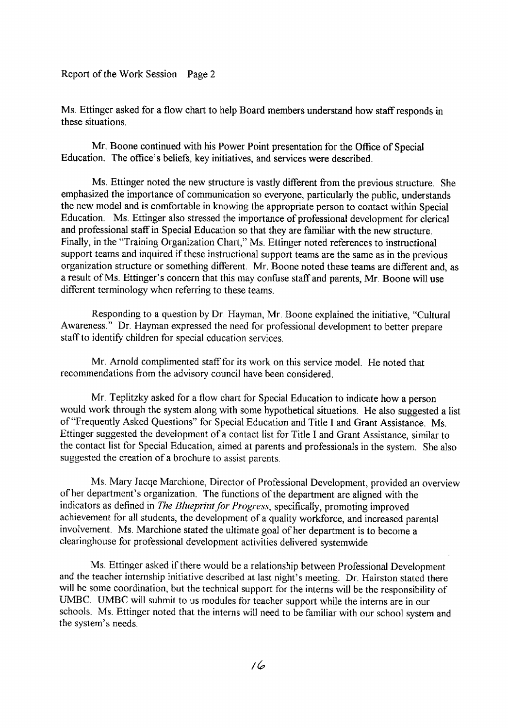Report of the Work Session -- Page 2

Ms. Ettinger asked for <sup>a</sup> flow chart to help Board members understand how staff responds in these situations .

Mr. Boone continued with his Power Point presentation for the Office of Special Education. The office's beliefs, key initiatives, and services were described .

Ms. Ettinger noted the new structure is vastly different from the previous structure. She emphasized the importance of communication so everyone, particularly the public, understands the new model and is comfortable in knowing the appropriate person to contact within Special Education. Ms. Ettinger also stressed the importance of professional development for clerical and professional staff in Special Education so that they are familiar with the new structure. Finally, in the "Training Organization Chart," Ms. Ettinger noted references to instructional support teams and inquired if these instructional support teams are the same as in the previous organization structure or something different. Mr. Boone noted these teams are different and, as <sup>a</sup> result of Ms. Ettinger's concern that this may confuse staffand parents, Mr. Boone will use different terminology when referring to these teams.

Responding to a question by Dr. Hayman, Mr. Boone explained the initiative, "Cultural Awareness." Dr. Hayman expressed the need for professional development to better prepare staffto identify children for special education services.

Mr. Arnold complimented staff for its work on this service model. He noted that recommendations from the advisory council have been considered.

Mr. Teplitzky asked for <sup>a</sup> flow chart for Special Education to indicate how <sup>a</sup> person would work through the system along with some hypothetical situations . He also suggested a list of "Frequently Asked Questions" for Special Education and Title <sup>I</sup> and Grant Assistance . Ms. Ettinger suggested the development of a contact list for Title <sup>I</sup> and Grant Assistance, similar to the contact list for Special Education, aimed at parents and professionals in the system . She also suggested the creation of a brochure to assist parents.

Ms. Mary Jacqe Marchione, Director of Professional Development, provided an overview of her department's organization. The functions of the department are aligned with the indicators as defined in The Blueprint for Progress, specifically, promoting improved achievement for all students, the development of <sup>a</sup> quality workforce, and increased parental involvement. Ms. Marchione stated the ultimate goal of her department is to become a clearinghouse for professional development activities delivered systemwide.

Ms. Ettinger asked if there would be <sup>a</sup> relationship between Professional Development and the teacher internship initiative described at last night's meeting. Dr. Hairston stated there will be some coordination, but the technical support for the interns will be the responsibility of UMBC . UMBC will submit to us modules for teacher support while the interns are in our schools. Ms. Ettinger noted that the interns will need to be familiar with our school system and the system's needs.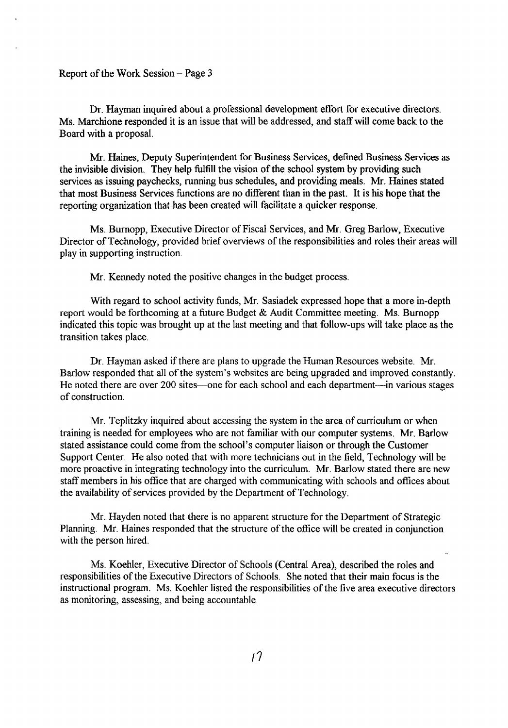#### Report of the Work Session  $-$  Page 3

Dr. Hayman inquired about a professional development effort for executive directors. Ms. Marchione responded it is an issue that will be addressed, and staff will come back to the Board with a proposal.

Mr. Haines, Deputy Superintendent for Business Services, defined Business Services as the invisible division. They help fulfill the vision of the school system by providing such services as issuing paychecks, running bus schedules, and providing meals. Mr. Haines stated that most Business Services functions are no different than in the past. It is his hope that the reporting organization that has been created will facilitate a quicker response.

Ms. Burnopp, Executive Director of Fiscal Services, and Mr . Greg Barlow, Executive Director of Technology, provided brief overviews of the responsibilities and roles their areas will play in supporting instruction.

Mr. Kennedy noted the positive changes in the budget process.

With regard to school activity funds, Mr. Sasiadek expressed hope that <sup>a</sup> more in-depth report would be forthcoming at <sup>a</sup> future Budget & Audit Committee meeting. Ms. Burnopp indicated this topic was brought up at the last meeting and that follow-ups will take place as the transition takes place.

Dr. Hayman asked if there are plans to upgrade the Human Resources website . Mr. Barlow responded that all of the system's websites are being upgraded and improved constantly . He noted there are over 200 sites—one for each school and each department—in various stages of construction .

Mr. Teplitzky inquired about accessing the system in the area of curriculum or when training is needed for employees who are not familiar with our computer systems . Mr. Barlow stated assistance could come from the school's computer liaison or through the Customer Support Center. He also noted that with more technicians out in the field, Technology will be more proactive in integrating technology into the curriculum. Mr. Barlow stated there are new staff members in his office that are charged with communicating with schools and offices about the availability of services provided by the Department of Technology.

Mr. Hayden noted that there is no apparent structure for the Department of Strategic Planning. Mr. Haines responded that the structure of the office will be created in conjunction with the person hired.

Ms. Koehler, Executive Director of Schools (Central Area), described the roles and responsibilities of the Executive Directors of Schools. She noted that their main focus is the instructional program. Ms. Koehler listed the responsibilities of the five area executive directors as monitoring, assessing, and being accountable.